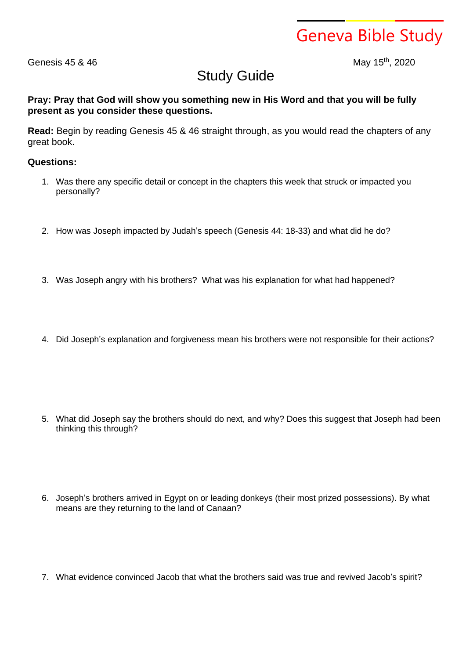Geneva Bible Study

Genesis 45 & 46

May 15<sup>th</sup>, 2020

## Study Guide

**Pray: Pray that God will show you something new in His Word and that you will be fully present as you consider these questions.**

**Read:** Begin by reading Genesis 45 & 46 straight through, as you would read the chapters of any great book.

## **Questions:**

- 1. Was there any specific detail or concept in the chapters this week that struck or impacted you personally?
- 2. How was Joseph impacted by Judah's speech (Genesis 44: 18-33) and what did he do?
- 3. Was Joseph angry with his brothers? What was his explanation for what had happened?
- 4. Did Joseph's explanation and forgiveness mean his brothers were not responsible for their actions?

- 5. What did Joseph say the brothers should do next, and why? Does this suggest that Joseph had been thinking this through?
- 6. Joseph's brothers arrived in Egypt on or leading donkeys (their most prized possessions). By what means are they returning to the land of Canaan?
- 7. What evidence convinced Jacob that what the brothers said was true and revived Jacob's spirit?